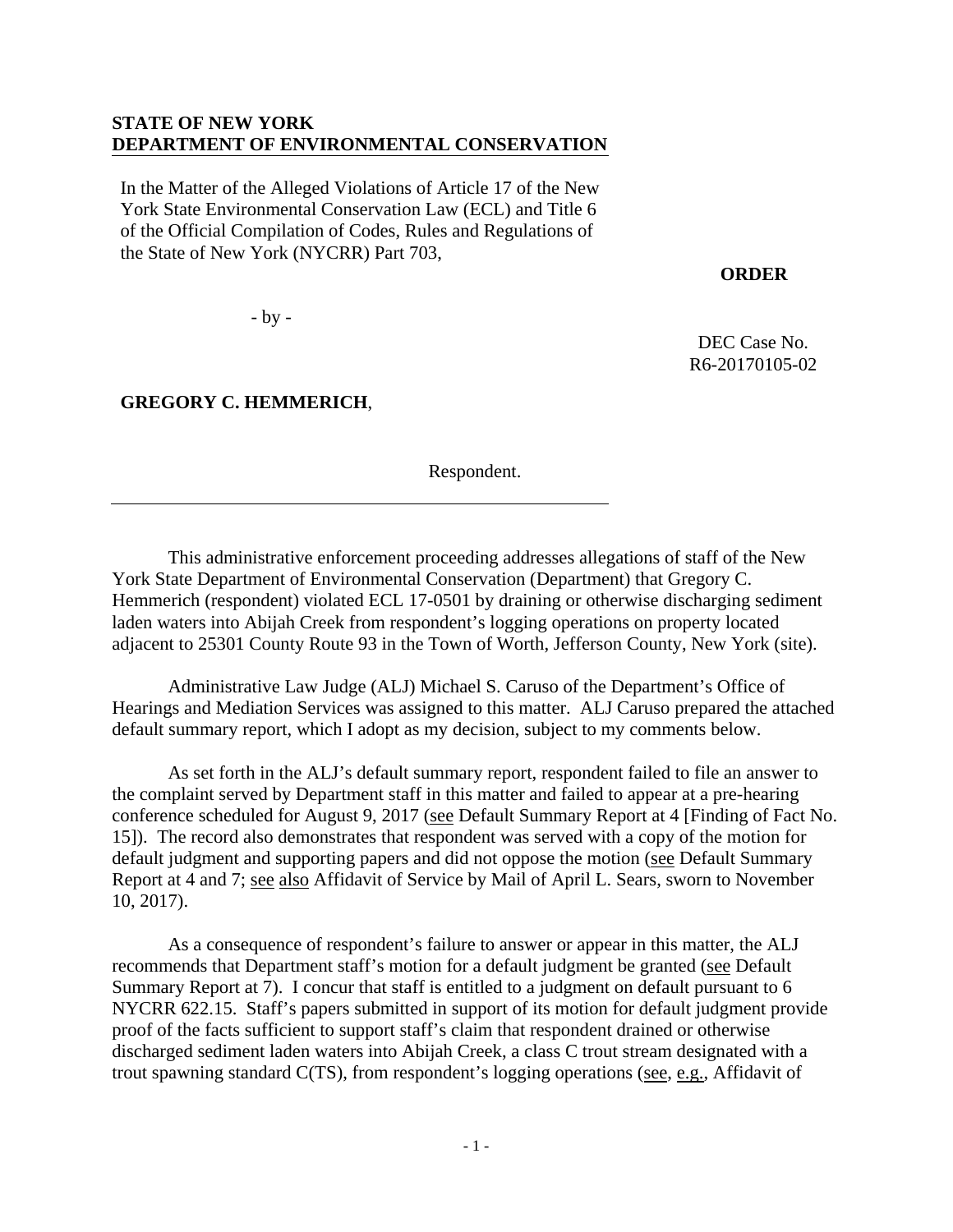## **STATE OF NEW YORK DEPARTMENT OF ENVIRONMENTAL CONSERVATION**

In the Matter of the Alleged Violations of Article 17 of the New York State Environmental Conservation Law (ECL) and Title 6 of the Official Compilation of Codes, Rules and Regulations of the State of New York (NYCRR) Part 703,

**ORDER** 

DEC Case No. R6-20170105-02

- by -

**GREGORY C. HEMMERICH**,

Respondent.

 This administrative enforcement proceeding addresses allegations of staff of the New York State Department of Environmental Conservation (Department) that Gregory C. Hemmerich (respondent) violated ECL 17-0501 by draining or otherwise discharging sediment laden waters into Abijah Creek from respondent's logging operations on property located adjacent to 25301 County Route 93 in the Town of Worth, Jefferson County, New York (site).

Administrative Law Judge (ALJ) Michael S. Caruso of the Department's Office of Hearings and Mediation Services was assigned to this matter. ALJ Caruso prepared the attached default summary report, which I adopt as my decision, subject to my comments below.

As set forth in the ALJ's default summary report, respondent failed to file an answer to the complaint served by Department staff in this matter and failed to appear at a pre-hearing conference scheduled for August 9, 2017 (see Default Summary Report at 4 [Finding of Fact No. 15]). The record also demonstrates that respondent was served with a copy of the motion for default judgment and supporting papers and did not oppose the motion (see Default Summary Report at 4 and 7; see also Affidavit of Service by Mail of April L. Sears, sworn to November 10, 2017).

As a consequence of respondent's failure to answer or appear in this matter, the ALJ recommends that Department staff's motion for a default judgment be granted (see Default Summary Report at 7). I concur that staff is entitled to a judgment on default pursuant to 6 NYCRR 622.15. Staff's papers submitted in support of its motion for default judgment provide proof of the facts sufficient to support staff's claim that respondent drained or otherwise discharged sediment laden waters into Abijah Creek, a class C trout stream designated with a trout spawning standard C(TS), from respondent's logging operations (see, e.g., Affidavit of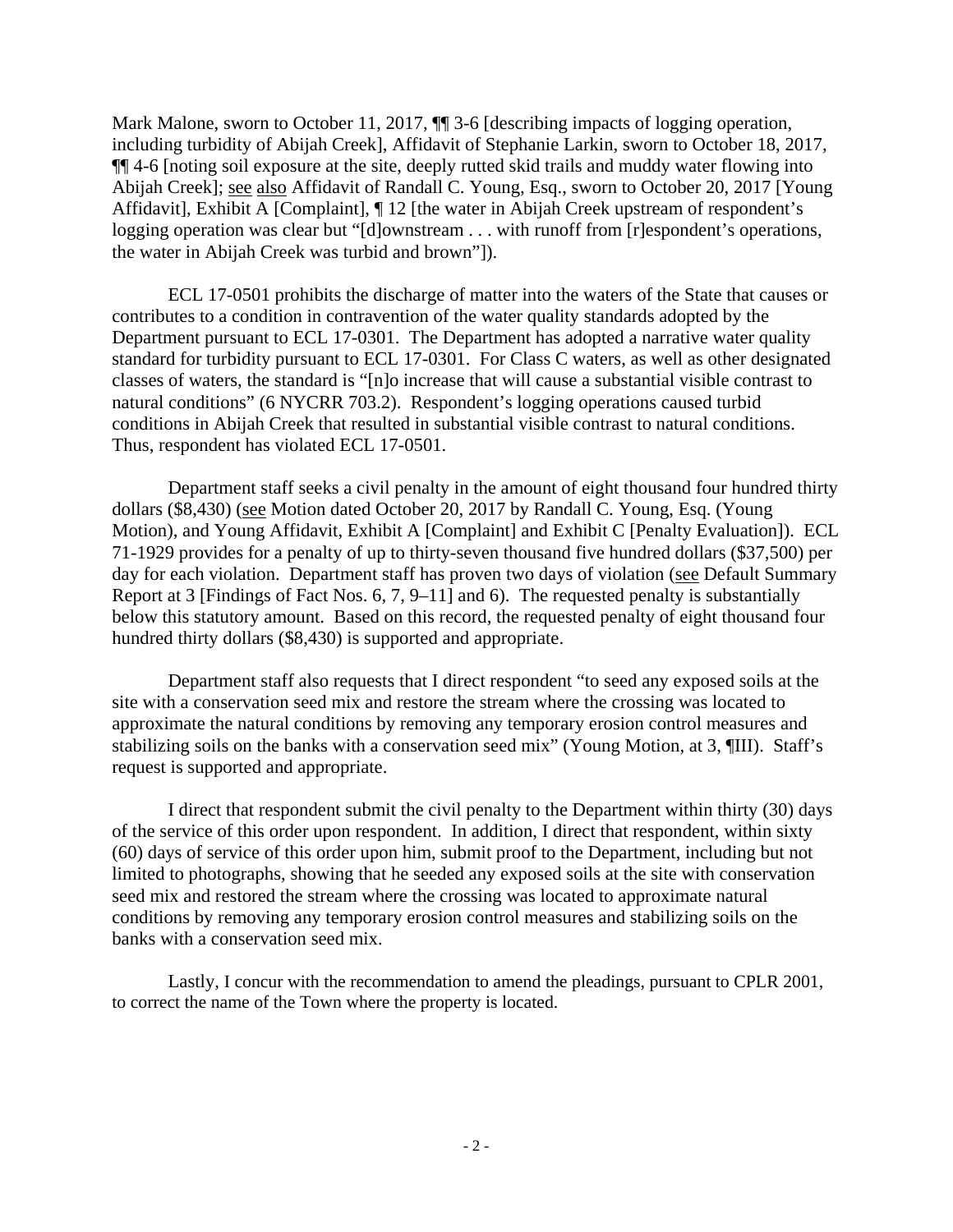Mark Malone, sworn to October 11, 2017,  $\P$  3-6 [describing impacts of logging operation, including turbidity of Abijah Creek], Affidavit of Stephanie Larkin, sworn to October 18, 2017, ¶¶ 4-6 [noting soil exposure at the site, deeply rutted skid trails and muddy water flowing into Abijah Creek]; see also Affidavit of Randall C. Young, Esq., sworn to October 20, 2017 [Young Affidavit], Exhibit A [Complaint], ¶ 12 [the water in Abijah Creek upstream of respondent's logging operation was clear but "[d]ownstream . . . with runoff from [r]espondent's operations, the water in Abijah Creek was turbid and brown"]).

ECL 17-0501 prohibits the discharge of matter into the waters of the State that causes or contributes to a condition in contravention of the water quality standards adopted by the Department pursuant to ECL 17-0301. The Department has adopted a narrative water quality standard for turbidity pursuant to ECL 17-0301. For Class C waters, as well as other designated classes of waters, the standard is "[n]o increase that will cause a substantial visible contrast to natural conditions" (6 NYCRR 703.2). Respondent's logging operations caused turbid conditions in Abijah Creek that resulted in substantial visible contrast to natural conditions. Thus, respondent has violated ECL 17-0501.

Department staff seeks a civil penalty in the amount of eight thousand four hundred thirty dollars (\$8,430) (see Motion dated October 20, 2017 by Randall C. Young, Esq. (Young Motion), and Young Affidavit, Exhibit A [Complaint] and Exhibit C [Penalty Evaluation]). ECL 71-1929 provides for a penalty of up to thirty-seven thousand five hundred dollars (\$37,500) per day for each violation. Department staff has proven two days of violation (see Default Summary Report at 3 [Findings of Fact Nos. 6, 7, 9–11] and 6). The requested penalty is substantially below this statutory amount. Based on this record, the requested penalty of eight thousand four hundred thirty dollars (\$8,430) is supported and appropriate.

 Department staff also requests that I direct respondent "to seed any exposed soils at the site with a conservation seed mix and restore the stream where the crossing was located to approximate the natural conditions by removing any temporary erosion control measures and stabilizing soils on the banks with a conservation seed mix" (Young Motion, at 3, ¶III). Staff's request is supported and appropriate.

 I direct that respondent submit the civil penalty to the Department within thirty (30) days of the service of this order upon respondent. In addition, I direct that respondent, within sixty (60) days of service of this order upon him, submit proof to the Department, including but not limited to photographs, showing that he seeded any exposed soils at the site with conservation seed mix and restored the stream where the crossing was located to approximate natural conditions by removing any temporary erosion control measures and stabilizing soils on the banks with a conservation seed mix.

 Lastly, I concur with the recommendation to amend the pleadings, pursuant to CPLR 2001, to correct the name of the Town where the property is located.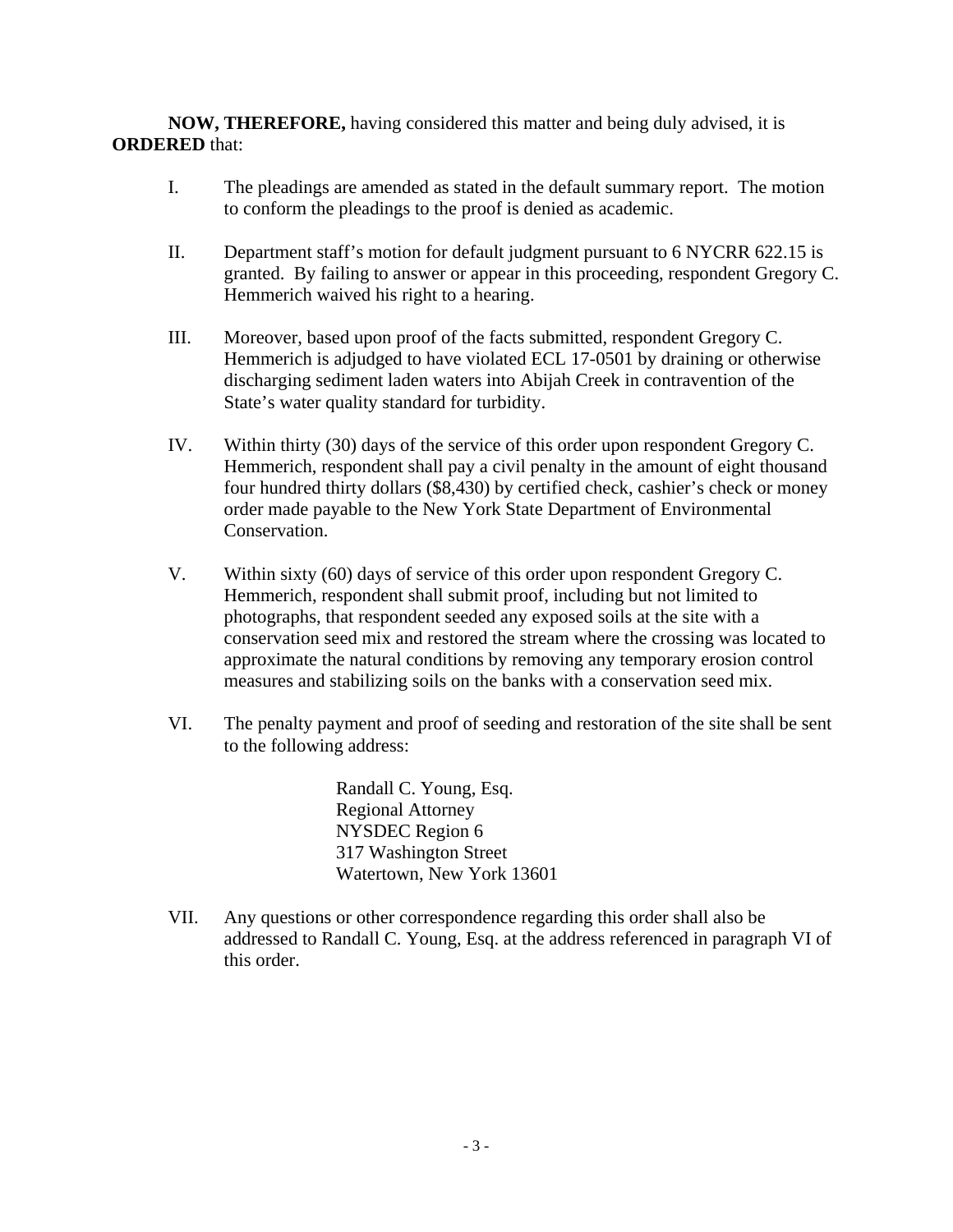**NOW, THEREFORE,** having considered this matter and being duly advised, it is **ORDERED** that:

- I. The pleadings are amended as stated in the default summary report. The motion to conform the pleadings to the proof is denied as academic.
- II. Department staff's motion for default judgment pursuant to 6 NYCRR 622.15 is granted. By failing to answer or appear in this proceeding, respondent Gregory C. Hemmerich waived his right to a hearing.
- III. Moreover, based upon proof of the facts submitted, respondent Gregory C. Hemmerich is adjudged to have violated ECL 17-0501 by draining or otherwise discharging sediment laden waters into Abijah Creek in contravention of the State's water quality standard for turbidity.
- IV. Within thirty (30) days of the service of this order upon respondent Gregory C. Hemmerich, respondent shall pay a civil penalty in the amount of eight thousand four hundred thirty dollars (\$8,430) by certified check, cashier's check or money order made payable to the New York State Department of Environmental Conservation.
- V. Within sixty (60) days of service of this order upon respondent Gregory C. Hemmerich, respondent shall submit proof, including but not limited to photographs, that respondent seeded any exposed soils at the site with a conservation seed mix and restored the stream where the crossing was located to approximate the natural conditions by removing any temporary erosion control measures and stabilizing soils on the banks with a conservation seed mix.
- VI. The penalty payment and proof of seeding and restoration of the site shall be sent to the following address:

Randall C. Young, Esq. Regional Attorney NYSDEC Region 6 317 Washington Street Watertown, New York 13601

VII. Any questions or other correspondence regarding this order shall also be addressed to Randall C. Young, Esq. at the address referenced in paragraph VI of this order.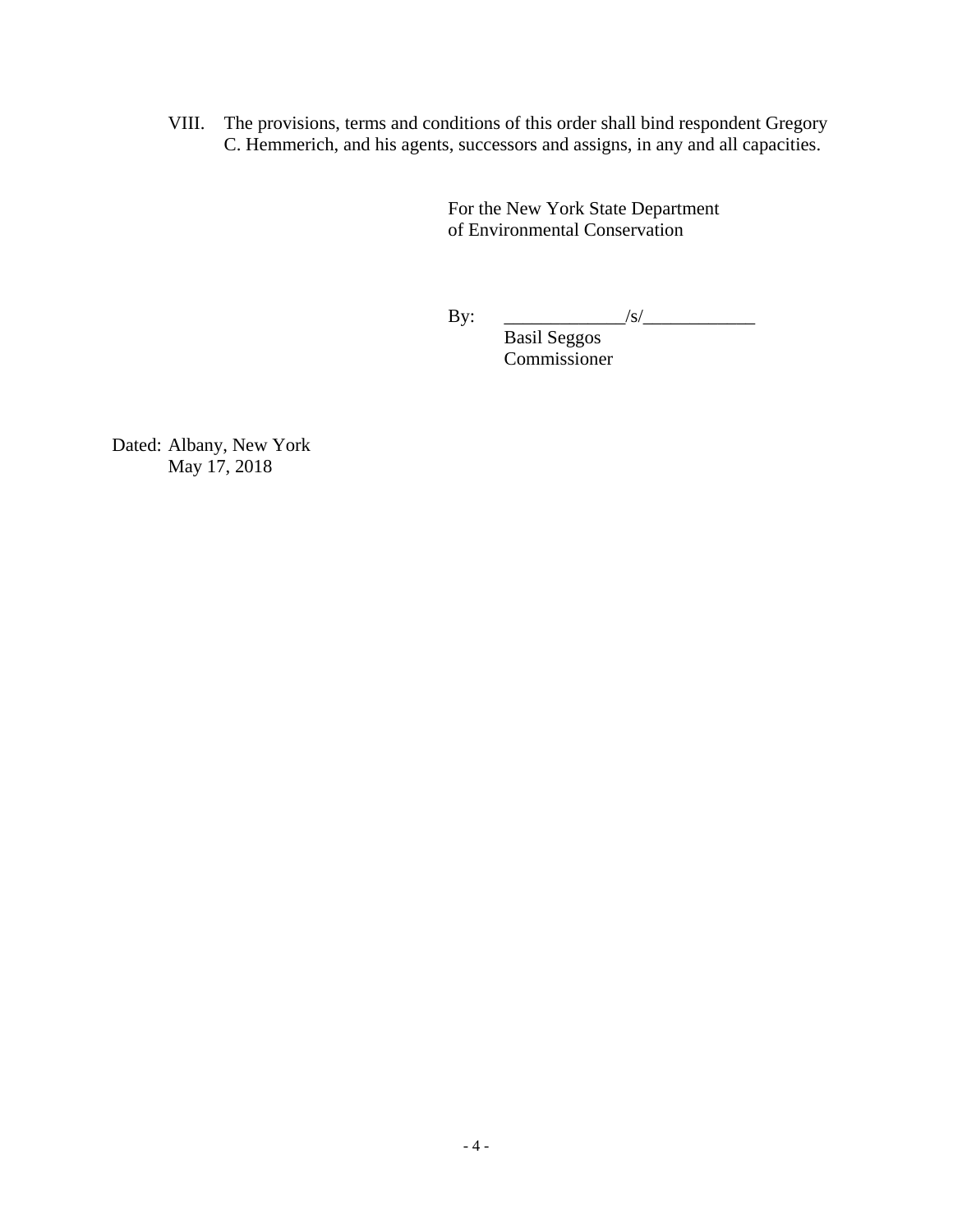VIII. The provisions, terms and conditions of this order shall bind respondent Gregory C. Hemmerich, and his agents, successors and assigns, in any and all capacities.

> For the New York State Department of Environmental Conservation

 $\text{By:}\qquad \qquad \underline{\qquad \qquad \qquad \qquad \qquad \qquad \qquad \qquad }$ 

 Basil Seggos Commissioner

Dated: Albany, New York May 17, 2018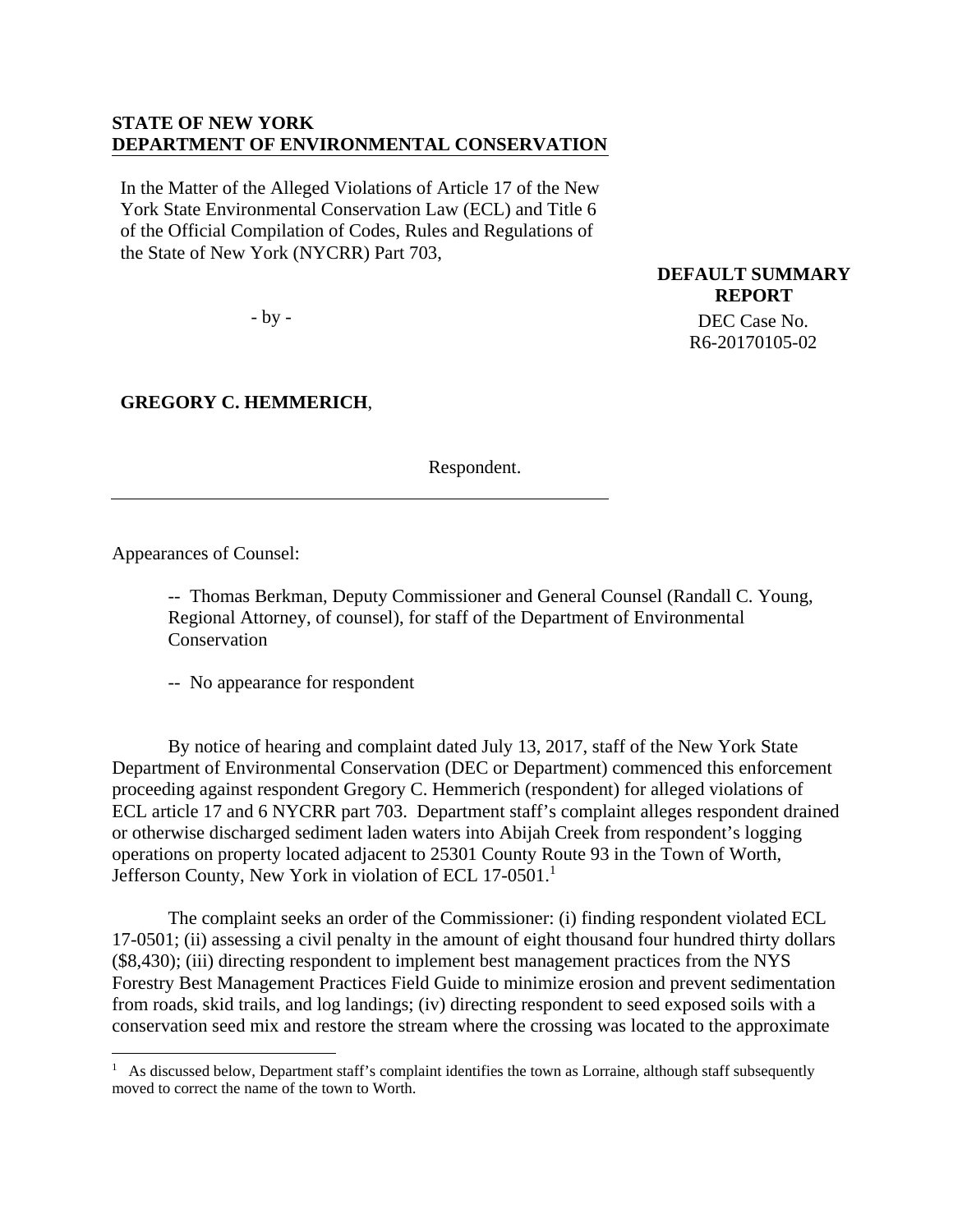## **STATE OF NEW YORK DEPARTMENT OF ENVIRONMENTAL CONSERVATION**

In the Matter of the Alleged Violations of Article 17 of the New York State Environmental Conservation Law (ECL) and Title 6 of the Official Compilation of Codes, Rules and Regulations of the State of New York (NYCRR) Part 703,

- by -

# **GREGORY C. HEMMERICH**,

Respondent.

**DEFAULT SUMMARY REPORT**  DEC Case No. R6-20170105-02

Appearances of Counsel:

 $\overline{a}$ 

-- Thomas Berkman, Deputy Commissioner and General Counsel (Randall C. Young, Regional Attorney, of counsel), for staff of the Department of Environmental **Conservation** 

-- No appearance for respondent

 By notice of hearing and complaint dated July 13, 2017, staff of the New York State Department of Environmental Conservation (DEC or Department) commenced this enforcement proceeding against respondent Gregory C. Hemmerich (respondent) for alleged violations of ECL article 17 and 6 NYCRR part 703. Department staff's complaint alleges respondent drained or otherwise discharged sediment laden waters into Abijah Creek from respondent's logging operations on property located adjacent to 25301 County Route 93 in the Town of Worth, Jefferson County, New York in violation of ECL 17-0501.<sup>1</sup>

The complaint seeks an order of the Commissioner: (i) finding respondent violated ECL 17-0501; (ii) assessing a civil penalty in the amount of eight thousand four hundred thirty dollars (\$8,430); (iii) directing respondent to implement best management practices from the NYS Forestry Best Management Practices Field Guide to minimize erosion and prevent sedimentation from roads, skid trails, and log landings; (iv) directing respondent to seed exposed soils with a conservation seed mix and restore the stream where the crossing was located to the approximate

<sup>&</sup>lt;sup>1</sup> As discussed below, Department staff's complaint identifies the town as Lorraine, although staff subsequently moved to correct the name of the town to Worth.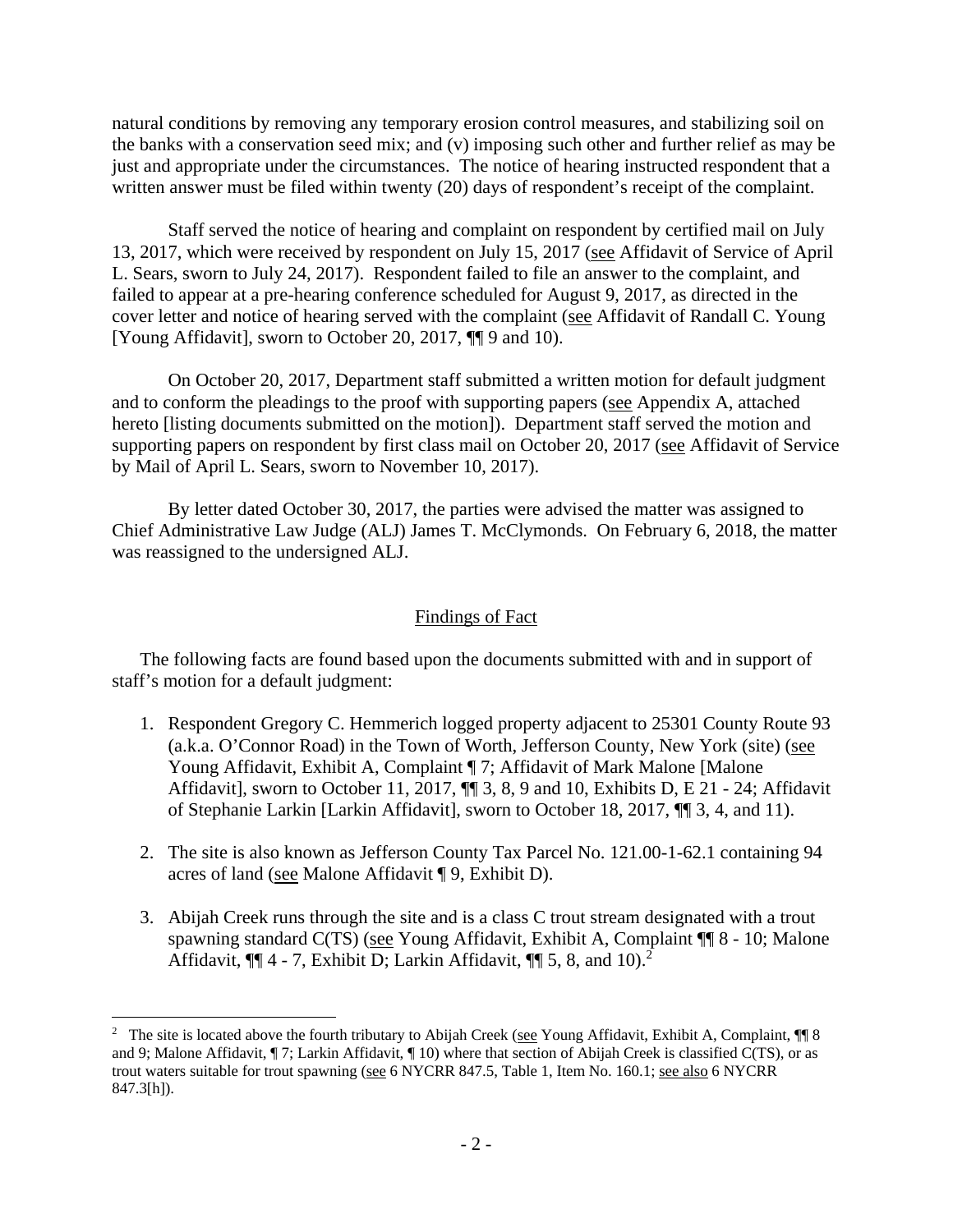natural conditions by removing any temporary erosion control measures, and stabilizing soil on the banks with a conservation seed mix; and (v) imposing such other and further relief as may be just and appropriate under the circumstances. The notice of hearing instructed respondent that a written answer must be filed within twenty (20) days of respondent's receipt of the complaint.

Staff served the notice of hearing and complaint on respondent by certified mail on July 13, 2017, which were received by respondent on July 15, 2017 (see Affidavit of Service of April L. Sears, sworn to July 24, 2017). Respondent failed to file an answer to the complaint, and failed to appear at a pre-hearing conference scheduled for August 9, 2017, as directed in the cover letter and notice of hearing served with the complaint (see Affidavit of Randall C. Young [Young Affidavit], sworn to October 20, 2017, ¶¶ 9 and 10).

 On October 20, 2017, Department staff submitted a written motion for default judgment and to conform the pleadings to the proof with supporting papers (see Appendix A, attached hereto *[listing documents submitted on the motion]*). Department staff served the motion and supporting papers on respondent by first class mail on October 20, 2017 (see Affidavit of Service by Mail of April L. Sears, sworn to November 10, 2017).

 By letter dated October 30, 2017, the parties were advised the matter was assigned to Chief Administrative Law Judge (ALJ) James T. McClymonds. On February 6, 2018, the matter was reassigned to the undersigned ALJ.

### Findings of Fact

The following facts are found based upon the documents submitted with and in support of staff's motion for a default judgment:

- 1. Respondent Gregory C. Hemmerich logged property adjacent to 25301 County Route 93 (a.k.a. O'Connor Road) in the Town of Worth, Jefferson County, New York (site) (see Young Affidavit, Exhibit A, Complaint ¶ 7; Affidavit of Mark Malone [Malone Affidavit], sworn to October 11, 2017, ¶¶ 3, 8, 9 and 10, Exhibits D, E 21 - 24; Affidavit of Stephanie Larkin [Larkin Affidavit], sworn to October 18, 2017, ¶¶ 3, 4, and 11).
- 2. The site is also known as Jefferson County Tax Parcel No. 121.00-1-62.1 containing 94 acres of land (see Malone Affidavit ¶ 9, Exhibit D).
- 3. Abijah Creek runs through the site and is a class C trout stream designated with a trout spawning standard C(TS) (see Young Affidavit, Exhibit A, Complaint ¶¶ 8 - 10; Malone Affidavit,  $\P\P$  4 - 7, Exhibit D; Larkin Affidavit,  $\P\P$  5, 8, and 10).<sup>2</sup>

 $\overline{a}$ 

<sup>&</sup>lt;sup>2</sup> The site is located above the fourth tributary to Abijah Creek (see Young Affidavit, Exhibit A, Complaint, ¶ 8 and 9; Malone Affidavit, ¶ 7; Larkin Affidavit, ¶ 10) where that section of Abijah Creek is classified C(TS), or as trout waters suitable for trout spawning (see 6 NYCRR 847.5, Table 1, Item No. 160.1; see also 6 NYCRR 847.3[h]).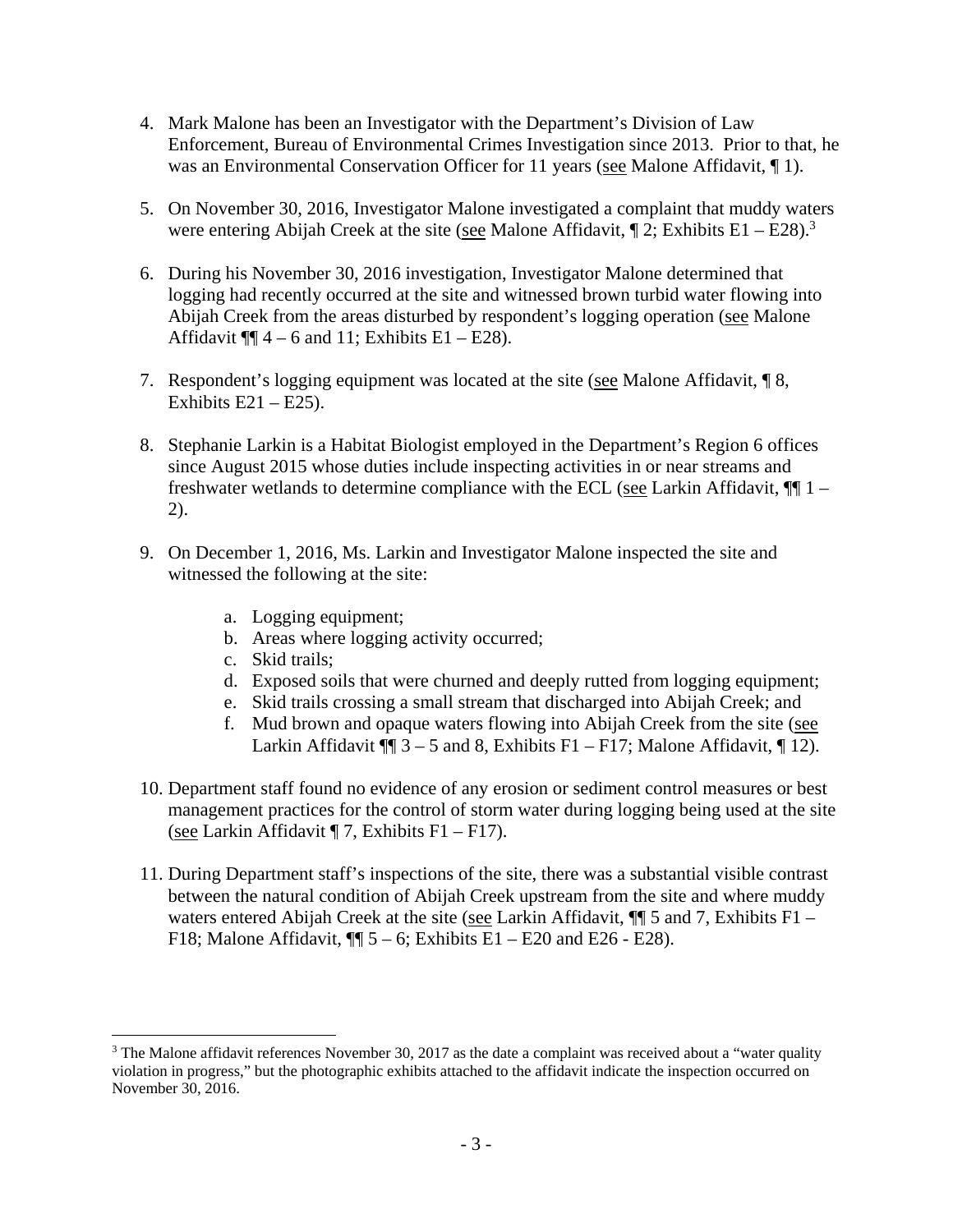- 4. Mark Malone has been an Investigator with the Department's Division of Law Enforcement, Bureau of Environmental Crimes Investigation since 2013. Prior to that, he was an Environmental Conservation Officer for 11 years (see Malone Affidavit,  $\P$  1).
- 5. On November 30, 2016, Investigator Malone investigated a complaint that muddy waters were entering Abijah Creek at the site (see Malone Affidavit,  $\P$  2; Exhibits E1 – E28).<sup>3</sup>
- 6. During his November 30, 2016 investigation, Investigator Malone determined that logging had recently occurred at the site and witnessed brown turbid water flowing into Abijah Creek from the areas disturbed by respondent's logging operation (see Malone Affidavit  $\P\P$  4 – 6 and 11; Exhibits E1 – E28).
- 7. Respondent's logging equipment was located at the site (see Malone Affidavit, ¶ 8, Exhibits  $E21 - E25$ ).
- 8. Stephanie Larkin is a Habitat Biologist employed in the Department's Region 6 offices since August 2015 whose duties include inspecting activities in or near streams and freshwater wetlands to determine compliance with the ECL (see Larkin Affidavit,  $\P$  1 – 2).
- 9. On December 1, 2016, Ms. Larkin and Investigator Malone inspected the site and witnessed the following at the site:
	- a. Logging equipment;
	- b. Areas where logging activity occurred;
	- c. Skid trails;

 $\overline{a}$ 

- d. Exposed soils that were churned and deeply rutted from logging equipment;
- e. Skid trails crossing a small stream that discharged into Abijah Creek; and
- f. Mud brown and opaque waters flowing into Abijah Creek from the site (see Larkin Affidavit  $\P$  3 – 5 and 8, Exhibits F1 – F17; Malone Affidavit,  $\P$  12).
- 10. Department staff found no evidence of any erosion or sediment control measures or best management practices for the control of storm water during logging being used at the site (see Larkin Affidavit  $\P$  7, Exhibits F1 – F17).
- 11. During Department staff's inspections of the site, there was a substantial visible contrast between the natural condition of Abijah Creek upstream from the site and where muddy waters entered Abijah Creek at the site (see Larkin Affidavit,  $\P$  5 and 7, Exhibits F1 – F18; Malone Affidavit,  $\P$  5 – 6; Exhibits E1 – E20 and E26 - E28).

 $3$  The Malone affidavit references November 30, 2017 as the date a complaint was received about a "water quality violation in progress," but the photographic exhibits attached to the affidavit indicate the inspection occurred on November 30, 2016.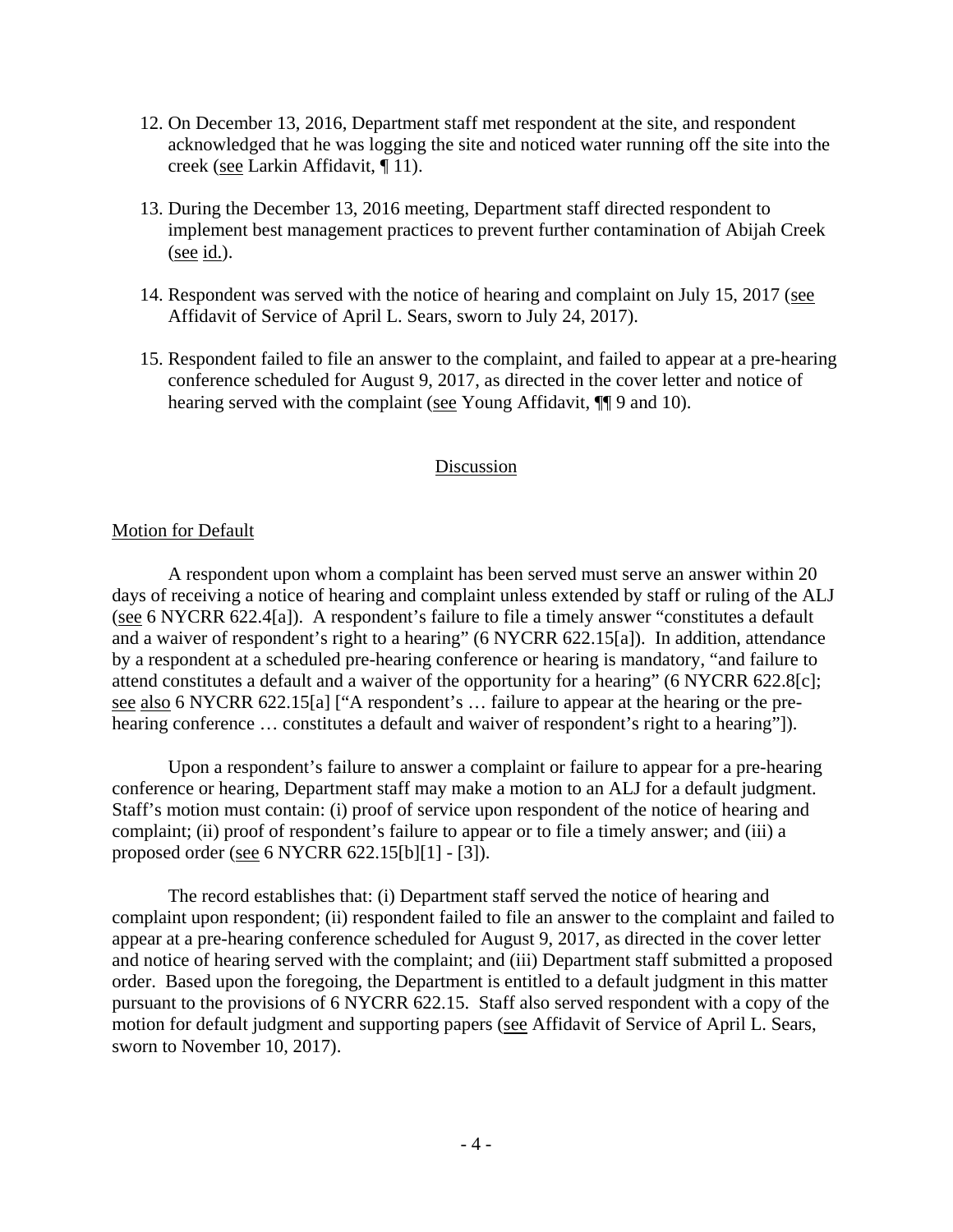- 12. On December 13, 2016, Department staff met respondent at the site, and respondent acknowledged that he was logging the site and noticed water running off the site into the creek (see Larkin Affidavit, ¶ 11).
- 13. During the December 13, 2016 meeting, Department staff directed respondent to implement best management practices to prevent further contamination of Abijah Creek (see id.).
- 14. Respondent was served with the notice of hearing and complaint on July 15, 2017 (see Affidavit of Service of April L. Sears, sworn to July 24, 2017).
- 15. Respondent failed to file an answer to the complaint, and failed to appear at a pre-hearing conference scheduled for August 9, 2017, as directed in the cover letter and notice of hearing served with the complaint (see Young Affidavit, ¶[9 and 10).

## Discussion

## Motion for Default

A respondent upon whom a complaint has been served must serve an answer within 20 days of receiving a notice of hearing and complaint unless extended by staff or ruling of the ALJ (see 6 NYCRR 622.4[a]). A respondent's failure to file a timely answer "constitutes a default and a waiver of respondent's right to a hearing" (6 NYCRR 622.15[a]). In addition, attendance by a respondent at a scheduled pre-hearing conference or hearing is mandatory, "and failure to attend constitutes a default and a waiver of the opportunity for a hearing" (6 NYCRR 622.8[c]; see also 6 NYCRR 622.15[a] ["A respondent's … failure to appear at the hearing or the prehearing conference ... constitutes a default and waiver of respondent's right to a hearing"]).

Upon a respondent's failure to answer a complaint or failure to appear for a pre-hearing conference or hearing, Department staff may make a motion to an ALJ for a default judgment. Staff's motion must contain: (i) proof of service upon respondent of the notice of hearing and complaint; (ii) proof of respondent's failure to appear or to file a timely answer; and (iii) a proposed order (see 6 NYCRR 622.15[b][1] - [3]).

The record establishes that: (i) Department staff served the notice of hearing and complaint upon respondent; (ii) respondent failed to file an answer to the complaint and failed to appear at a pre-hearing conference scheduled for August 9, 2017, as directed in the cover letter and notice of hearing served with the complaint; and (iii) Department staff submitted a proposed order. Based upon the foregoing, the Department is entitled to a default judgment in this matter pursuant to the provisions of 6 NYCRR 622.15. Staff also served respondent with a copy of the motion for default judgment and supporting papers (see Affidavit of Service of April L. Sears, sworn to November 10, 2017).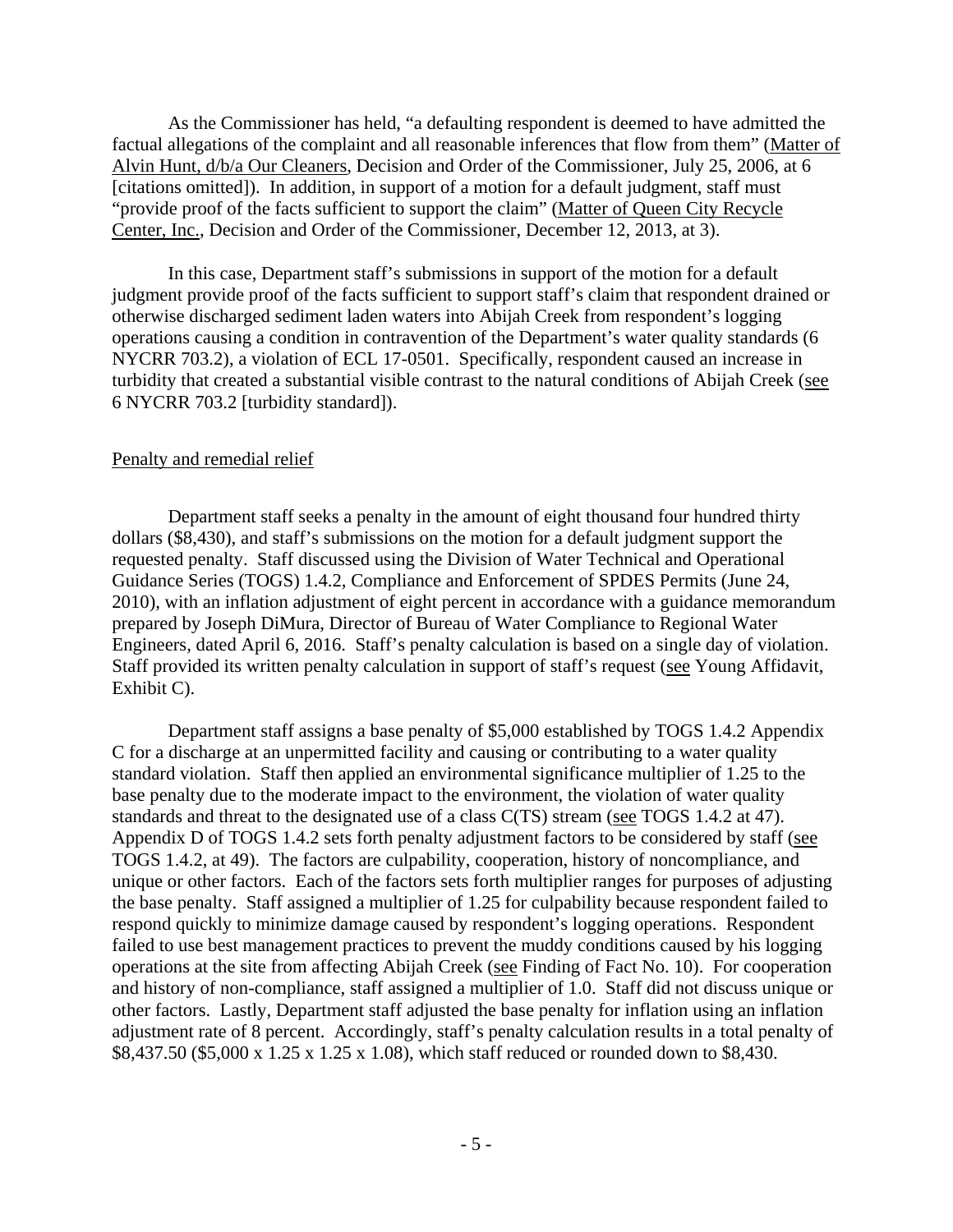As the Commissioner has held, "a defaulting respondent is deemed to have admitted the factual allegations of the complaint and all reasonable inferences that flow from them" (Matter of Alvin Hunt, d/b/a Our Cleaners, Decision and Order of the Commissioner, July 25, 2006, at 6 [citations omitted]). In addition, in support of a motion for a default judgment, staff must "provide proof of the facts sufficient to support the claim" (Matter of Queen City Recycle Center, Inc., Decision and Order of the Commissioner, December 12, 2013, at 3).

In this case, Department staff's submissions in support of the motion for a default judgment provide proof of the facts sufficient to support staff's claim that respondent drained or otherwise discharged sediment laden waters into Abijah Creek from respondent's logging operations causing a condition in contravention of the Department's water quality standards (6 NYCRR 703.2), a violation of ECL 17-0501. Specifically, respondent caused an increase in turbidity that created a substantial visible contrast to the natural conditions of Abijah Creek (see 6 NYCRR 703.2 [turbidity standard]).

#### Penalty and remedial relief

Department staff seeks a penalty in the amount of eight thousand four hundred thirty dollars (\$8,430), and staff's submissions on the motion for a default judgment support the requested penalty. Staff discussed using the Division of Water Technical and Operational Guidance Series (TOGS) 1.4.2, Compliance and Enforcement of SPDES Permits (June 24, 2010), with an inflation adjustment of eight percent in accordance with a guidance memorandum prepared by Joseph DiMura, Director of Bureau of Water Compliance to Regional Water Engineers, dated April 6, 2016. Staff's penalty calculation is based on a single day of violation. Staff provided its written penalty calculation in support of staff's request (see Young Affidavit, Exhibit C).

Department staff assigns a base penalty of \$5,000 established by TOGS 1.4.2 Appendix C for a discharge at an unpermitted facility and causing or contributing to a water quality standard violation. Staff then applied an environmental significance multiplier of 1.25 to the base penalty due to the moderate impact to the environment, the violation of water quality standards and threat to the designated use of a class C(TS) stream (see TOGS 1.4.2 at 47). Appendix D of TOGS 1.4.2 sets forth penalty adjustment factors to be considered by staff (see TOGS 1.4.2, at 49). The factors are culpability, cooperation, history of noncompliance, and unique or other factors. Each of the factors sets forth multiplier ranges for purposes of adjusting the base penalty. Staff assigned a multiplier of 1.25 for culpability because respondent failed to respond quickly to minimize damage caused by respondent's logging operations. Respondent failed to use best management practices to prevent the muddy conditions caused by his logging operations at the site from affecting Abijah Creek (see Finding of Fact No. 10). For cooperation and history of non-compliance, staff assigned a multiplier of 1.0. Staff did not discuss unique or other factors. Lastly, Department staff adjusted the base penalty for inflation using an inflation adjustment rate of 8 percent. Accordingly, staff's penalty calculation results in a total penalty of \$8,437.50 (\$5,000 x 1.25 x 1.25 x 1.08), which staff reduced or rounded down to \$8,430.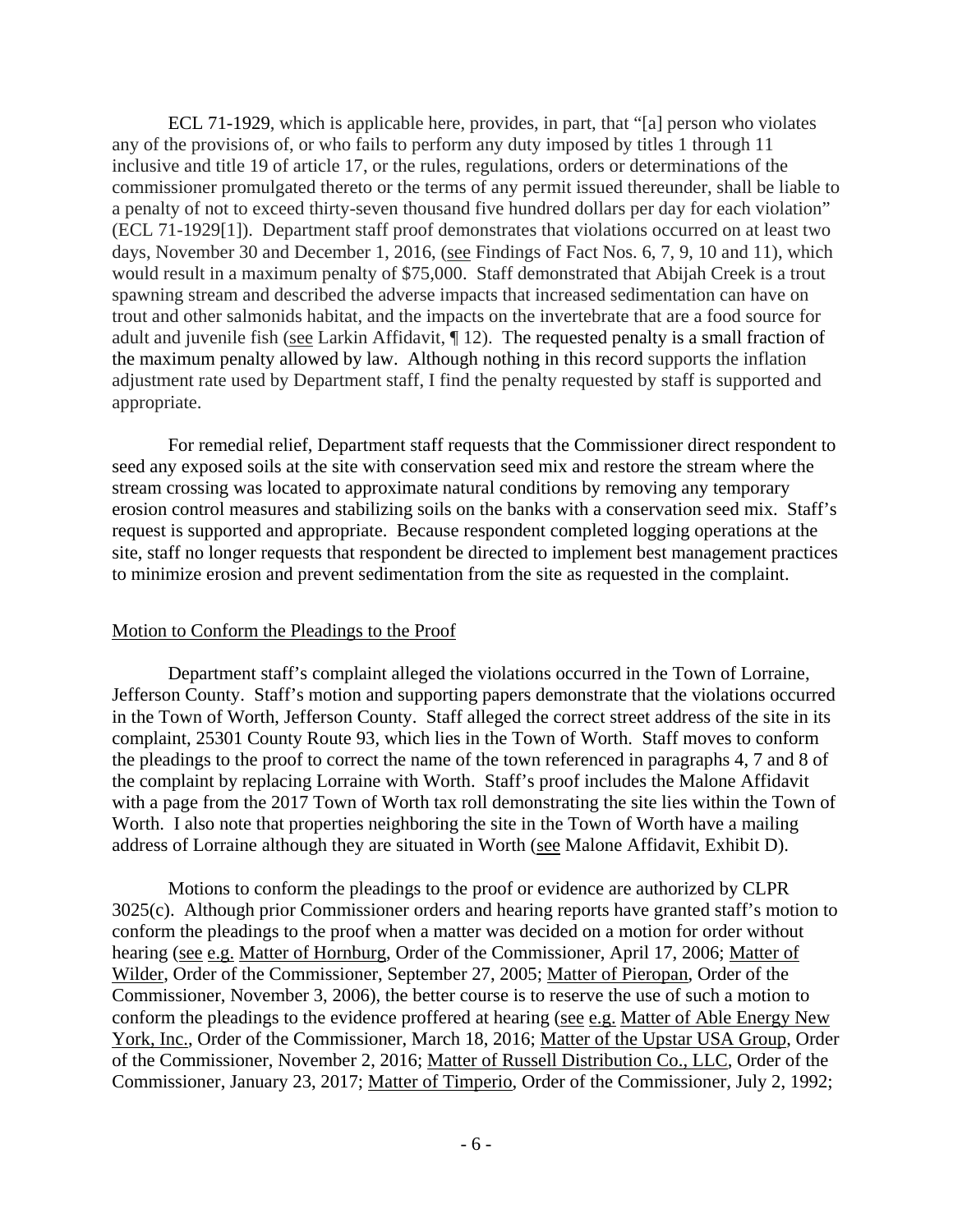ECL 71-1929, which is applicable here, provides, in part, that "[a] person who violates any of the provisions of, or who fails to perform any duty imposed by titles 1 through 11 inclusive and title 19 of article 17, or the rules, regulations, orders or determinations of the commissioner promulgated thereto or the terms of any permit issued thereunder, shall be liable to a penalty of not to exceed thirty-seven thousand five hundred dollars per day for each violation" (ECL 71-1929[1]). Department staff proof demonstrates that violations occurred on at least two days, November 30 and December 1, 2016, (see Findings of Fact Nos. 6, 7, 9, 10 and 11), which would result in a maximum penalty of \$75,000. Staff demonstrated that Abijah Creek is a trout spawning stream and described the adverse impacts that increased sedimentation can have on trout and other salmonids habitat, and the impacts on the invertebrate that are a food source for adult and juvenile fish (see Larkin Affidavit, ¶ 12). The requested penalty is a small fraction of the maximum penalty allowed by law. Although nothing in this record supports the inflation adjustment rate used by Department staff, I find the penalty requested by staff is supported and appropriate.

 For remedial relief, Department staff requests that the Commissioner direct respondent to seed any exposed soils at the site with conservation seed mix and restore the stream where the stream crossing was located to approximate natural conditions by removing any temporary erosion control measures and stabilizing soils on the banks with a conservation seed mix. Staff's request is supported and appropriate. Because respondent completed logging operations at the site, staff no longer requests that respondent be directed to implement best management practices to minimize erosion and prevent sedimentation from the site as requested in the complaint.

### Motion to Conform the Pleadings to the Proof

 Department staff's complaint alleged the violations occurred in the Town of Lorraine, Jefferson County. Staff's motion and supporting papers demonstrate that the violations occurred in the Town of Worth, Jefferson County. Staff alleged the correct street address of the site in its complaint, 25301 County Route 93, which lies in the Town of Worth. Staff moves to conform the pleadings to the proof to correct the name of the town referenced in paragraphs 4, 7 and 8 of the complaint by replacing Lorraine with Worth. Staff's proof includes the Malone Affidavit with a page from the 2017 Town of Worth tax roll demonstrating the site lies within the Town of Worth. I also note that properties neighboring the site in the Town of Worth have a mailing address of Lorraine although they are situated in Worth (see Malone Affidavit, Exhibit D).

 Motions to conform the pleadings to the proof or evidence are authorized by CLPR 3025(c). Although prior Commissioner orders and hearing reports have granted staff's motion to conform the pleadings to the proof when a matter was decided on a motion for order without hearing (see e.g. Matter of Hornburg, Order of the Commissioner, April 17, 2006; Matter of Wilder, Order of the Commissioner, September 27, 2005; Matter of Pieropan, Order of the Commissioner, November 3, 2006), the better course is to reserve the use of such a motion to conform the pleadings to the evidence proffered at hearing (see e.g. Matter of Able Energy New York, Inc., Order of the Commissioner, March 18, 2016; Matter of the Upstar USA Group, Order of the Commissioner, November 2, 2016; Matter of Russell Distribution Co., LLC, Order of the Commissioner, January 23, 2017; Matter of Timperio, Order of the Commissioner, July 2, 1992;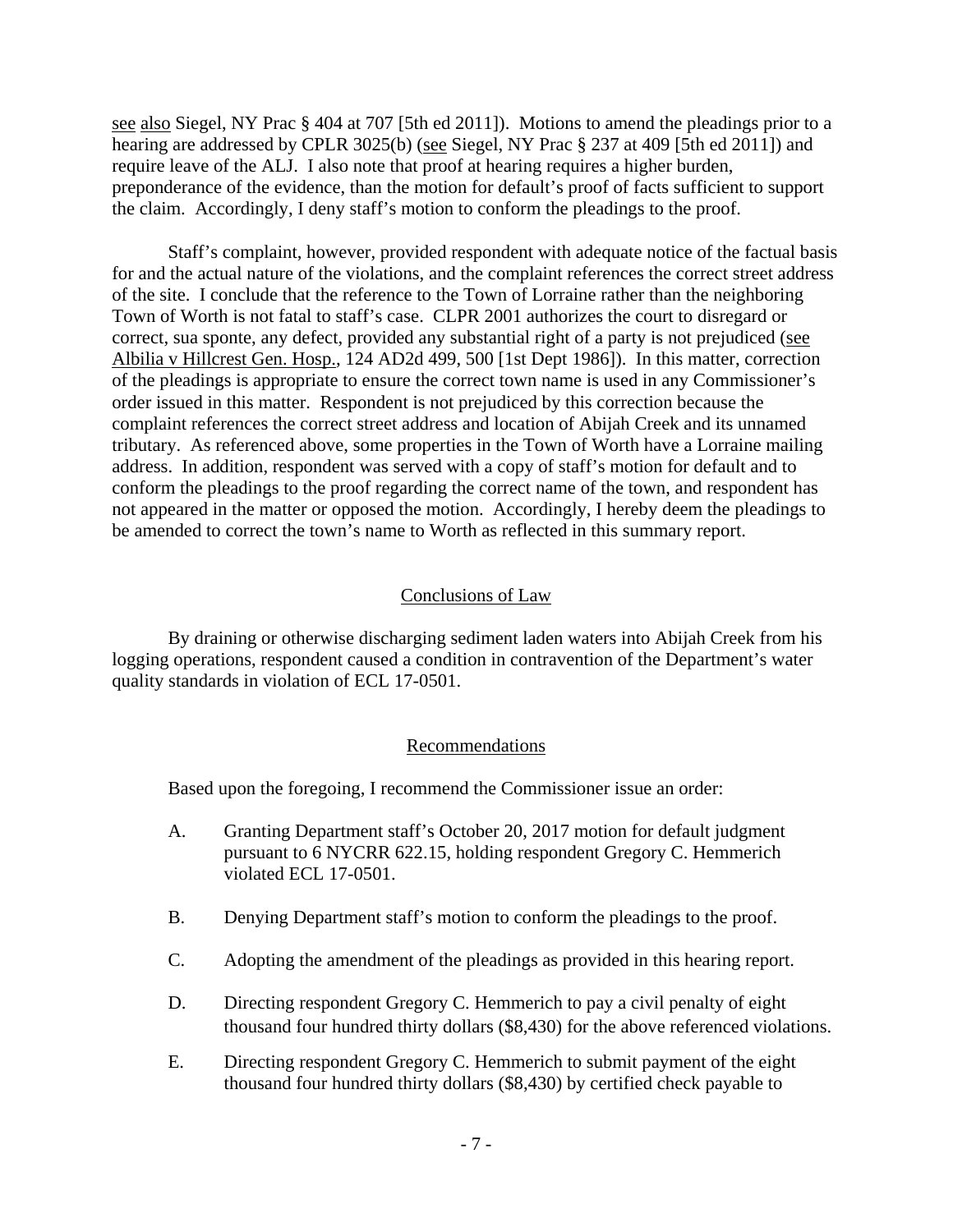see also Siegel, NY Prac § 404 at 707 [5th ed 2011]). Motions to amend the pleadings prior to a hearing are addressed by CPLR 3025(b) (see Siegel, NY Prac § 237 at 409 [5th ed 2011]) and require leave of the ALJ. I also note that proof at hearing requires a higher burden, preponderance of the evidence, than the motion for default's proof of facts sufficient to support the claim. Accordingly, I deny staff's motion to conform the pleadings to the proof.

 Staff's complaint, however, provided respondent with adequate notice of the factual basis for and the actual nature of the violations, and the complaint references the correct street address of the site. I conclude that the reference to the Town of Lorraine rather than the neighboring Town of Worth is not fatal to staff's case. CLPR 2001 authorizes the court to disregard or correct, sua sponte, any defect, provided any substantial right of a party is not prejudiced (see Albilia v Hillcrest Gen. Hosp., 124 AD2d 499, 500 [1st Dept 1986]). In this matter, correction of the pleadings is appropriate to ensure the correct town name is used in any Commissioner's order issued in this matter. Respondent is not prejudiced by this correction because the complaint references the correct street address and location of Abijah Creek and its unnamed tributary. As referenced above, some properties in the Town of Worth have a Lorraine mailing address. In addition, respondent was served with a copy of staff's motion for default and to conform the pleadings to the proof regarding the correct name of the town, and respondent has not appeared in the matter or opposed the motion. Accordingly, I hereby deem the pleadings to be amended to correct the town's name to Worth as reflected in this summary report.

### Conclusions of Law

By draining or otherwise discharging sediment laden waters into Abijah Creek from his logging operations, respondent caused a condition in contravention of the Department's water quality standards in violation of ECL 17-0501.

#### Recommendations

Based upon the foregoing, I recommend the Commissioner issue an order:

- A. Granting Department staff's October 20, 2017 motion for default judgment pursuant to 6 NYCRR 622.15, holding respondent Gregory C. Hemmerich violated ECL 17-0501.
- B. Denying Department staff's motion to conform the pleadings to the proof.
- C. Adopting the amendment of the pleadings as provided in this hearing report.
- D. Directing respondent Gregory C. Hemmerich to pay a civil penalty of eight thousand four hundred thirty dollars (\$8,430) for the above referenced violations.
- E. Directing respondent Gregory C. Hemmerich to submit payment of the eight thousand four hundred thirty dollars (\$8,430) by certified check payable to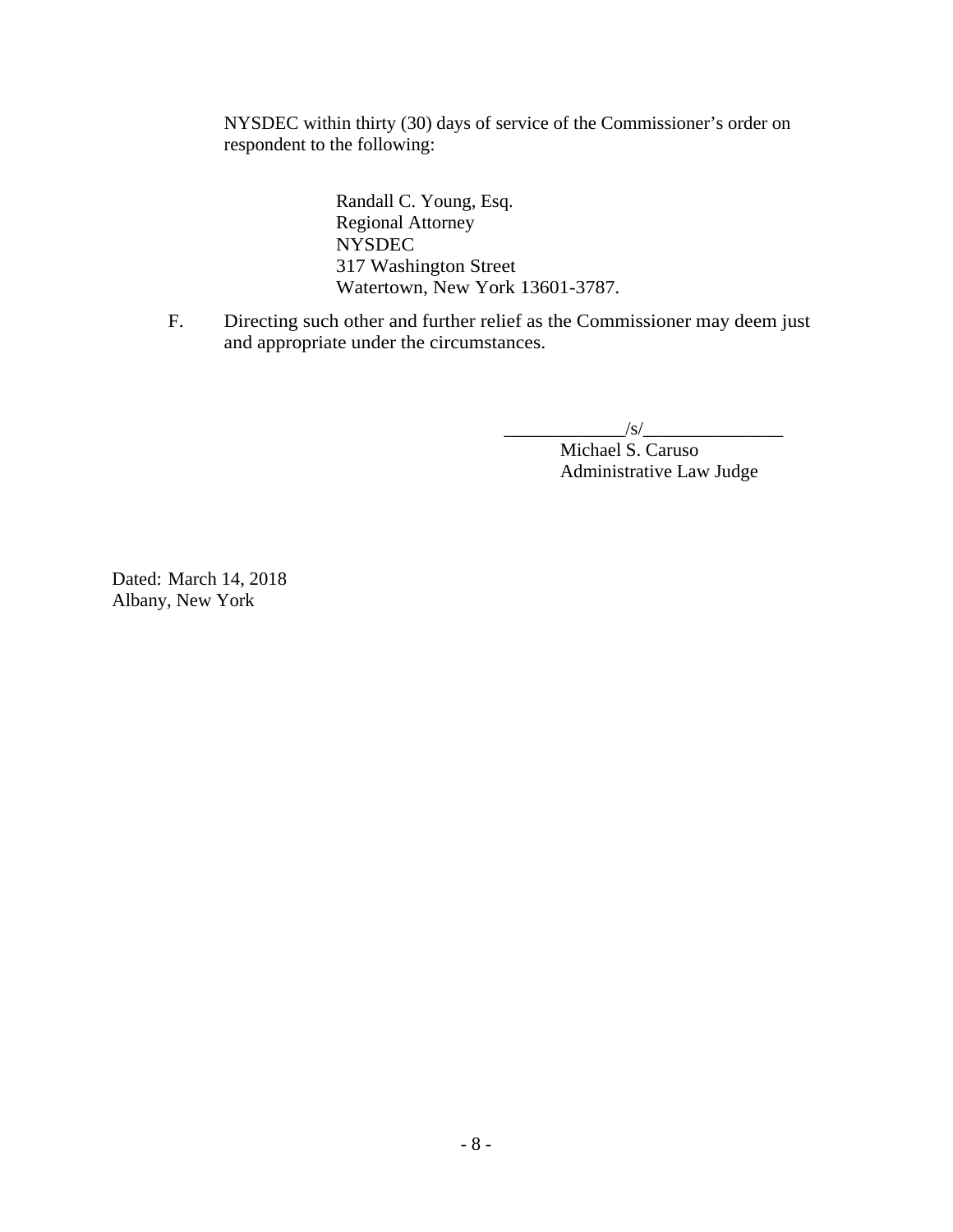NYSDEC within thirty (30) days of service of the Commissioner's order on respondent to the following:

> Randall C. Young, Esq. Regional Attorney NYSDEC 317 Washington Street Watertown, New York 13601-3787.

F. Directing such other and further relief as the Commissioner may deem just and appropriate under the circumstances.

 $\frac{1}{s}$ /s/ $\frac{1}{s}$ Michael S. Caruso Administrative Law Judge

Dated: March 14, 2018 Albany, New York